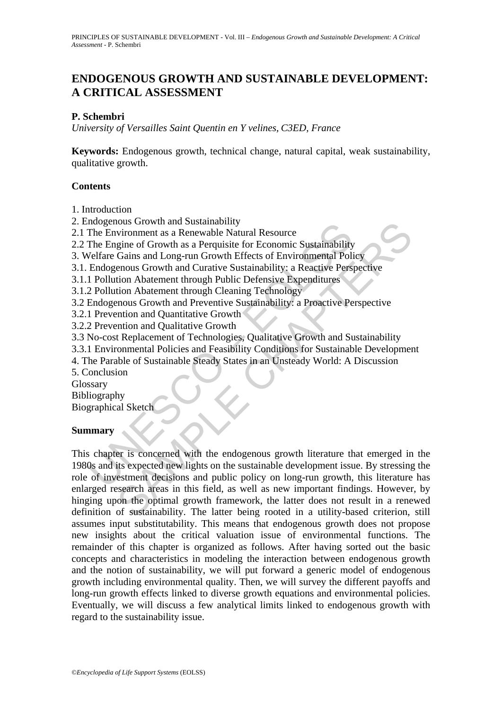## **ENDOGENOUS GROWTH AND SUSTAINABLE DEVELOPMENT: A CRITICAL ASSESSMENT**

### **P. Schembri**

*University of Versailles Saint Quentin en Y velines, C3ED, France* 

**Keywords:** Endogenous growth, technical change, natural capital, weak sustainability, qualitative growth.

### **Contents**

1. Introduction

2. Endogenous Growth and Sustainability

2.1 The Environment as a Renewable Natural Resource

2.2 The Engine of Growth as a Perquisite for Economic Sustainability

3. Welfare Gains and Long-run Growth Effects of Environmental Policy

3.1. Endogenous Growth and Curative Sustainability: a Reactive Perspective

3.1.1 Pollution Abatement through Public Defensive Expenditures

3.1.2 Pollution Abatement through Cleaning Technology

3.2 Endogenous Growth and Preventive Sustainability: a Proactive Perspective

3.2.1 Prevention and Quantitative Growth

3.2.2 Prevention and Qualitative Growth

3.3 No-cost Replacement of Technologies, Qualitative Growth and Sustainability

3.3.1 Environmental Policies and Feasibility Conditions for Sustainable Development

4. The Parable of Sustainable Steady States in an Unsteady World: A Discussion

5. Conclusion

Glossary

Bibliography

Biographical Sketch

### **Summary**

mogenous Growth and Sustainability<br>The Environment as a Renewable Natural Resource<br>The Environment as a Renewable Natural Resource<br>Velfare Gains and Long-run Growth Effects of Environmental Poli<br>Velfare Gains and Long-run Now and Sustainability<br>
wironment as a Renewable Natural Resource<br>
gine of Growth as a Perquisite for Economic Sustainability<br>
Gains and Long-run Growth Effects of Environmental Policy<br>
Chains and Long-run Growth Effects o This chapter is concerned with the endogenous growth literature that emerged in the 1980s and its expected new lights on the sustainable development issue. By stressing the role of investment decisions and public policy on long-run growth, this literature has enlarged research areas in this field, as well as new important findings. However, by hinging upon the optimal growth framework, the latter does not result in a renewed definition of sustainability. The latter being rooted in a utility-based criterion, still assumes input substitutability. This means that endogenous growth does not propose new insights about the critical valuation issue of environmental functions. The remainder of this chapter is organized as follows. After having sorted out the basic concepts and characteristics in modeling the interaction between endogenous growth and the notion of sustainability, we will put forward a generic model of endogenous growth including environmental quality. Then, we will survey the different payoffs and long-run growth effects linked to diverse growth equations and environmental policies. Eventually, we will discuss a few analytical limits linked to endogenous growth with regard to the sustainability issue.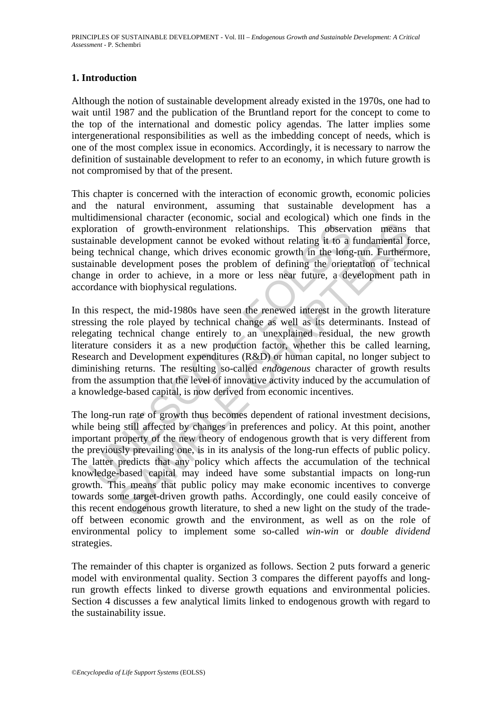### **1. Introduction**

Although the notion of sustainable development already existed in the 1970s, one had to wait until 1987 and the publication of the Bruntland report for the concept to come to the top of the international and domestic policy agendas. The latter implies some intergenerational responsibilities as well as the imbedding concept of needs, which is one of the most complex issue in economics. Accordingly, it is necessary to narrow the definition of sustainable development to refer to an economy, in which future growth is not compromised by that of the present.

This chapter is concerned with the interaction of economic growth, economic policies and the natural environment, assuming that sustainable development has a multidimensional character (economic, social and ecological) which one finds in the exploration of growth-environment relationships. This observation means that sustainable development cannot be evoked without relating it to a fundamental force, being technical change, which drives economic growth in the long-run. Furthermore, sustainable development poses the problem of defining the orientation of technical change in order to achieve, in a more or less near future, a development path in accordance with biophysical regulations.

loration of growth-environment relationships. This observal anable development cannot be evoked without relating it to a jum section and the evoked without relating it to a jum section of defining the orient to achieve, in In this respect, the mid-1980s have seen the renewed interest in the growth literature stressing the role played by technical change as well as its determinants. Instead of relegating technical change entirely to an unexplained residual, the new growth literature considers it as a new production factor, whether this be called learning, Research and Development expenditures (R&D) or human capital, no longer subject to diminishing returns. The resulting so-called *endogenous* character of growth results from the assumption that the level of innovative activity induced by the accumulation of a knowledge-based capital, is now derived from economic incentives.

1 of growth-environment relationships. This observation means development cannot be evoked without relating it to a fundamental for development cannot be voked without relating it to a fundamental for development poses the The long-run rate of growth thus becomes dependent of rational investment decisions, while being still affected by changes in preferences and policy. At this point, another important property of the new theory of endogenous growth that is very different from the previously prevailing one, is in its analysis of the long-run effects of public policy. The latter predicts that any policy which affects the accumulation of the technical knowledge-based capital may indeed have some substantial impacts on long-run growth. This means that public policy may make economic incentives to converge towards some target-driven growth paths. Accordingly, one could easily conceive of this recent endogenous growth literature, to shed a new light on the study of the tradeoff between economic growth and the environment, as well as on the role of environmental policy to implement some so-called *win-win* or *double dividend* strategies.

The remainder of this chapter is organized as follows. Section 2 puts forward a generic model with environmental quality. Section 3 compares the different payoffs and longrun growth effects linked to diverse growth equations and environmental policies. Section 4 discusses a few analytical limits linked to endogenous growth with regard to the sustainability issue.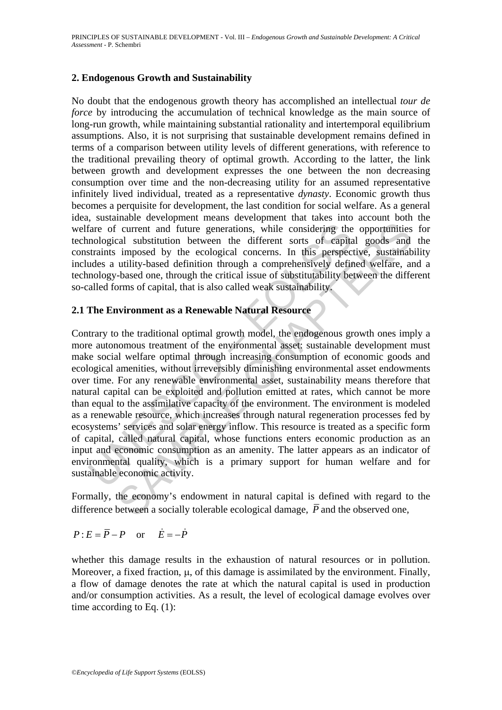#### **2. Endogenous Growth and Sustainability**

No doubt that the endogenous growth theory has accomplished an intellectual *tour de force* by introducing the accumulation of technical knowledge as the main source of long-run growth, while maintaining substantial rationality and intertemporal equilibrium assumptions. Also, it is not surprising that sustainable development remains defined in terms of a comparison between utility levels of different generations, with reference to the traditional prevailing theory of optimal growth. According to the latter, the link between growth and development expresses the one between the non decreasing consumption over time and the non-decreasing utility for an assumed representative infinitely lived individual, treated as a representative *dynasty*. Economic growth thus becomes a perquisite for development, the last condition for social welfare. As a general idea, sustainable development means development that takes into account both the welfare of current and future generations, while considering the opportunities for technological substitution between the different sorts of capital goods and the constraints imposed by the ecological concerns. In this perspective, sustainability includes a utility-based definition through a comprehensively defined welfare, and a technology-based one, through the critical issue of substitutability between the different so-called forms of capital, that is also called weak sustainability.

#### **2.1 The Environment as a Renewable Natural Resource**

fare of current and future generations, while considering the mological substitution between the different sorts of capitatraints imposed by the ecological concerns. In this perspectudes a utility-based definition through Current and future generations, while considering the opportunities<br>cal substitution between the different sorts of capital goods and<br>imposed by the ecological concens. In this perspective, sustainabl<br>utility-based defini Contrary to the traditional optimal growth model, the endogenous growth ones imply a more autonomous treatment of the environmental asset: sustainable development must make social welfare optimal through increasing consumption of economic goods and ecological amenities, without irreversibly diminishing environmental asset endowments over time. For any renewable environmental asset, sustainability means therefore that natural capital can be exploited and pollution emitted at rates, which cannot be more than equal to the assimilative capacity of the environment. The environment is modeled as a renewable resource, which increases through natural regeneration processes fed by ecosystems' services and solar energy inflow. This resource is treated as a specific form of capital, called natural capital, whose functions enters economic production as an input and economic consumption as an amenity. The latter appears as an indicator of environmental quality, which is a primary support for human welfare and for sustainable economic activity.

Formally, the economy's endowment in natural capital is defined with regard to the difference between a socially tolerable ecological damage.  $\overline{P}$  and the observed one,

$$
P: E = \overline{P} - P \quad \text{or} \quad \dot{E} = -\dot{P}
$$

whether this damage results in the exhaustion of natural resources or in pollution. Moreover, a fixed fraction, μ, of this damage is assimilated by the environment. Finally, a flow of damage denotes the rate at which the natural capital is used in production and/or consumption activities. As a result, the level of ecological damage evolves over time according to Eq.  $(1)$ :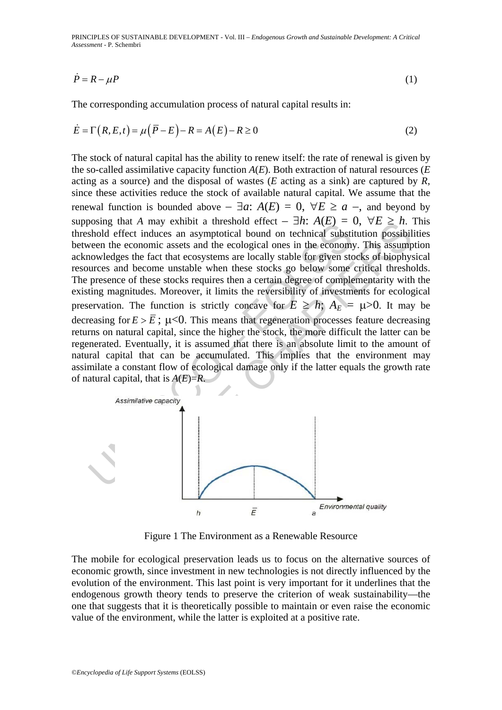PRINCIPLES OF SUSTAINABLE DEVELOPMENT - Vol. III – *Endogenous Growth and Sustainable Development: A Critical Assessment* - P. Schembri

$$
\dot{P} = R - \mu P \tag{1}
$$

The corresponding accumulation process of natural capital results in:

$$
\dot{E} = \Gamma(R, E, t) = \mu(\overline{P} - E) - R = A(E) - R \ge 0
$$
\n<sup>(2)</sup>

boshig una A may exhibit a unesion effect  $-\pi n$ .  $A(E) - \gamma$ <br>shold effect induces an asymptotical bound on technical substitute<br>ween the conomic assets and the cological ones in the conomic<br>nowledges the fact that ecosystems that A may exhibit a threshold effect —  $= n$ . A( $E \bar{J} = 0$ ,  $\forall E \geq n$ .<br>
Fifted induces an asymptotical bound on technical substitution possibile<br>
economic assets and the cological ones in the economy. This assump<br>
ges th The stock of natural capital has the ability to renew itself: the rate of renewal is given by the so-called assimilative capacity function *A*(*E*). Both extraction of natural resources (*E* acting as a source) and the disposal of wastes (*E* acting as a sink) are captured by *R*, since these activities reduce the stock of available natural capital. We assume that the renewal function is bounded above  $-\exists a$ :  $A(E) = 0$ ,  $\forall E \ge a$  –, and beyond by supposing that *A* may exhibit a threshold effect –  $\exists h$ :  $A(E) = 0$ ,  $\forall E \ge h$ . This threshold effect induces an asymptotical bound on technical substitution possibilities between the economic assets and the ecological ones in the economy. This assumption acknowledges the fact that ecosystems are locally stable for given stocks of biophysical resources and become unstable when these stocks go below some critical thresholds. The presence of these stocks requires then a certain degree of complementarity with the existing magnitudes. Moreover, it limits the reversibility of investments for ecological preservation. The function is strictly concave for  $E \ge h$ ;  $A_E = \mu > 0$ . It may be decreasing for  $E > \overline{E}$ ;  $\mu < 0$ . This means that regeneration processes feature decreasing returns on natural capital, since the higher the stock, the more difficult the latter can be regenerated. Eventually, it is assumed that there is an absolute limit to the amount of natural capital that can be accumulated. This implies that the environment may assimilate a constant flow of ecological damage only if the latter equals the growth rate of natural capital, that is *A*(*E*)=*R*.



Figure 1 The Environment as a Renewable Resource

The mobile for ecological preservation leads us to focus on the alternative sources of economic growth, since investment in new technologies is not directly influenced by the evolution of the environment. This last point is very important for it underlines that the endogenous growth theory tends to preserve the criterion of weak sustainability—the one that suggests that it is theoretically possible to maintain or even raise the economic value of the environment, while the latter is exploited at a positive rate.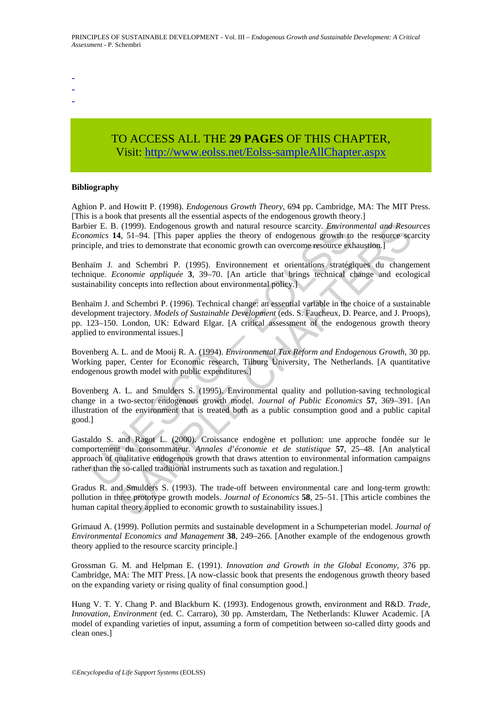- -
- -
- -

# TO ACCESS ALL THE **29 PAGES** OF THIS CHAPTER, Visit: [http://www.eolss.net/Eolss-sampleAllChapter.aspx](https://www.eolss.net/ebooklib/sc_cart.aspx?File=E1-46A-06-02)

#### **Bibliography**

Aghion P. and Howitt P. (1998). *Endogenous Growth Theory*, 694 pp. Cambridge, MA: The MIT Press. [This is a book that presents all the essential aspects of the endogenous growth theory.]

Barbier E. B. (1999). Endogenous growth and natural resource scarcity. *Environmental and Resources Economics* **14**, 51–94. [This paper applies the theory of endogenous growth to the resource scarcity principle, and tries to demonstrate that economic growth can overcome resource exhaustion.]

Benhaïm J. and Schembri P. (1995). Environnement et orientations stratégiques du changement technique. *Economie appliquée* **3**, 39–70. [An article that brings technical change and ecological sustainability concepts into reflection about environmental policy.

Benhaïm J. and Schembri P. (1996). Technical change: an essential variable in the choice of a sustainable development trajectory. *Models of Sustainable Development* (eds. S. Faucheux, D. Pearce, and J. Proops), pp. 123–150. London, UK: Edward Elgar. [A critical assessment of the endogenous growth theory applied to environmental issues.]

Bovenberg A. L. and de Mooij R. A. (1994). *Environmental Tax Reform and Endogenous Growth,* 30 pp. Working paper, Center for Economic research, Tilburg University, The Netherlands. [A quantitative endogenous growth model with public expenditures.]

ier E. B. (1999). Endogenous growth and natural resource scarcity. *Environ*<br>cornics: **14.** 51-94. [This paper applies the theory of endogenous growth con-<br>rapide, and tries to demonstrate that economic growth can overcom . (1999). Endogenous growth and natural resource scarcity. *Environmental and Resot*<br>4, 51-94. [This paper applies the theory of endogenous growth to the resource<br>If tries to demonstrate that economic growth can overcome Bovenberg A. L. and Smulders S. (1995). Environmental quality and pollution-saving technological change in a two-sector endogenous growth model. *Journal of Public Economics* **57**, 369–391. [An illustration of the environment that is treated both as a public consumption good and a public capital good.]

Gastaldo S. and Ragot L. (2000). Croissance endogène et pollution: une approche fondée sur le comportement du consommateur. *Annales d*'*économie et de statistique* **57**, 25–48. [An analytical approach of qualitative endogenous growth that draws attention to environmental information campaigns rather than the so-called traditional instruments such as taxation and regulation.]

Gradus R. and Smulders S. (1993). The trade-off between environmental care and long-term growth: pollution in three prototype growth models. *Journal of Economics* **58**, 25–51. [This article combines the human capital theory applied to economic growth to sustainability issues.]

Grimaud A. (1999). Pollution permits and sustainable development in a Schumpeterian model. *Journal of Environmental Economics and Management* **38**, 249–266. [Another example of the endogenous growth theory applied to the resource scarcity principle.]

Grossman G. M. and Helpman E. (1991). *Innovation and Growth in the Global Economy,* 376 pp. Cambridge, MA: The MIT Press. [A now-classic book that presents the endogenous growth theory based on the expanding variety or rising quality of final consumption good.]

Hung V. T. Y. Chang P. and Blackburn K. (1993). Endogenous growth, environment and R&D. *Trade, Innovation, Environment* (ed. C. Carraro), 30 pp. Amsterdam, The Netherlands: Kluwer Academic. [A model of expanding varieties of input, assuming a form of competition between so-called dirty goods and clean ones.]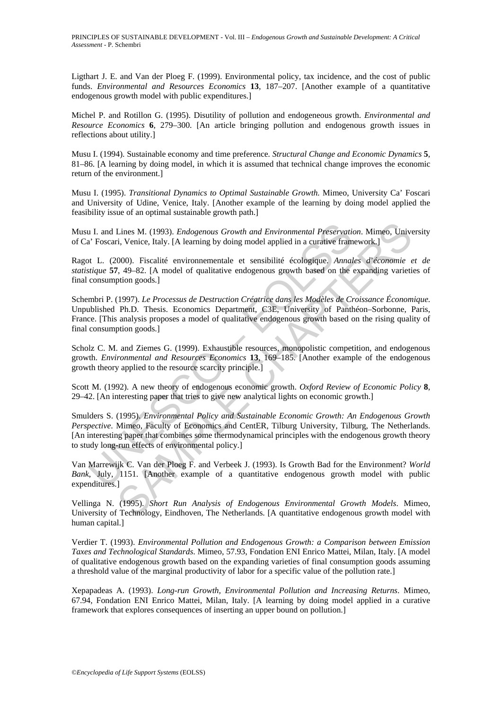Ligthart J. E. and Van der Ploeg F. (1999). Environmental policy, tax incidence, and the cost of public funds. *Environmental and Resources Economics* **13**, 187–207. [Another example of a quantitative endogenous growth model with public expenditures.]

Michel P. and Rotillon G. (1995). Disutility of pollution and endogeneous growth. *Environmental and Resource Economics* **6**, 279–300. [An article bringing pollution and endogenous growth issues in reflections about utility.]

Musu I. (1994). Sustainable economy and time preference*. Structural Change and Economic Dynamics* **5**, 81–86. [A learning by doing model, in which it is assumed that technical change improves the economic return of the environment.]

Musu I. (1995). *Transitional Dynamics to Optimal Sustainable Growth.* Mimeo, University Ca' Foscari and University of Udine, Venice, Italy. [Another example of the learning by doing model applied the feasibility issue of an optimal sustainable growth path.]

Musu I. and Lines M. (1993). *Endogenous Growth and Environmental Preservation*. Mimeo, University of Ca' Foscari, Venice, Italy. [A learning by doing model applied in a curative framework.]

Ragot L. (2000). Fiscalité environnementale et sensibilité écologique. *Annales d*'*économie et de statistique* **57**, 49–82. [A model of qualitative endogenous growth based on the expanding varieties of final consumption goods.]

Schembri P. (1997). *Le Processus de Destruction Créatrice dans les Modèles de Croissance Économique*. Unpublished Ph.D. Thesis. Economics Department, C3E, University of Panthéon–Sorbonne, Paris, France. [This analysis proposes a model of qualitative endogenous growth based on the rising quality of final consumption goods.]

Scholz C. M. and Ziemes G. (1999). Exhaustible resources, monopolistic competition, and endogenous growth. *Environmental and Resources Economics* **13**, 169–185. [Another example of the endogenous growth theory applied to the resource scarcity principle.]

Scott M. (1992). A new theory of endogenous economic growth. *Oxford Review of Economic Policy* **8**, 29–42. [An interesting paper that tries to give new analytical lights on economic growth.]

u I. and Lines M. (1993). *Endogenous Growth and Environmental Preservatia*<sup>7</sup> Foscari, Venice, Italy. [A learning by doing model applied in a curative fram<br>ot L. (2000). Fiscalité environmenentale et sensibilité écologiqu Lines M. (1993). *Endogenous Growth and Environmental Preservation*. Mimeo, Unive<br>in, Venice, Italy. [A learning by doing model applied in a curative framework.]<br>
000). Fiscalité environmementale et sensibilité écologique. Smulders S. (1995). *Environmental Policy and Sustainable Economic Growth: An Endogenous Growth Perspective*. Mimeo, Faculty of Economics and CentER, Tilburg University, Tilburg, The Netherlands. [An interesting paper that combines some thermodynamical principles with the endogenous growth theory to study long-run effects of environmental policy.]

Van Marrewijk C. Van der Ploeg F. and Verbeek J. (1993). Is Growth Bad for the Environment? *World Bank*, July, 1151. [Another example of a quantitative endogenous growth model with public expenditures.]

Vellinga N. (1995). *Short Run Analysis of Endogenous Environmental Growth Models*. Mimeo, University of Technology, Eindhoven, The Netherlands. [A quantitative endogenous growth model with human capital.]

Verdier T. (1993). *Environmental Pollution and Endogenous Growth: a Comparison between Emission Taxes and Technological Standards*. Mimeo, 57.93, Fondation ENI Enrico Mattei, Milan, Italy. [A model of qualitative endogenous growth based on the expanding varieties of final consumption goods assuming a threshold value of the marginal productivity of labor for a specific value of the pollution rate.]

Xepapadeas A. (1993). *Long-run Growth, Environmental Pollution and Increasing Returns*. Mimeo, 67.94, Fondation ENI Enrico Mattei, Milan, Italy. [A learning by doing model applied in a curative framework that explores consequences of inserting an upper bound on pollution.]